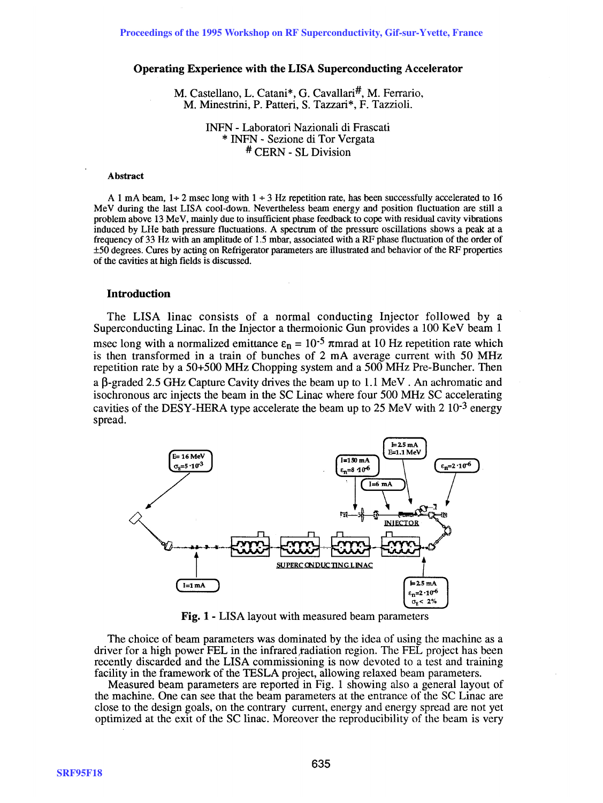# **Operating Experience with the LISA Superconducting Accelerator**

M. Castellano, L. Catani<sup>\*</sup>, G. Cavallari<sup>#</sup>, M. Ferrario, M. Minestrini, P. Patteri, S. Tazzari\*, F. Tazzioli.

> INFN - Laboratori Nazionali di Frascati \* INFN - Sezione di Tor Vergata # CERN - SL Division

#### Abstract

A 1 mA beam,  $1+2$  msec long with  $1+3$  Hz repetition rate, has been successfully accelerated to 16 MeV during the last LISA cool-down. Nevertheless beam energy and position fluctuation are still a problem above 13 MeV, mainly due to insufficient phase feedback to cope with residual cavity vibrations induced by LHe bath pressure fluctuations. A spectrum of the pressure oscillations shows a peak at a frequency of 33 Hz with an amplitude of 1.5 mbar, associated with a RF phase fluctuation of the order of ±50 degrees. Cures by acting on Refrigerator parameters are illustrated and behavior of the RF properties of the cavities at high fields is discussed.

#### **Introduction**

The LISA linac consists of a normal conducting Injector followed by a Superconducting Linac. In the Injector a thermoionic Gun provides a 100 KeV beam 1 msec long with a normalized emittance  $\varepsilon_n = 10^{-5}$   $\pi$ mrad at 10 Hz repetition rate which is then transformed in a train of bunches of 2 mA average current with 50 MHz repetition rate by a 50+500 MHz Chopping system and a 500 MHz Pre-Buncher. Then a  $\beta$ -graded 2.5 GHz Capture Cavity drives the beam up to 1.1 MeV. An achromatic and isochronous arc injects the beam in the SC Linac where four 500 MHz SC accelerating cavities of the DESY-HERA type accelerate the beam up to 25 MeV with 2  $10^{-3}$  energy spread.



**Fig. 1 -** LISA layout with measured beam parameters

The choice of beam parameters was dominated by the idea of using the machine as a driver for a high power FEL in the infrared radiation region. The FEL project has been recently discarded and the LISA commissioning is now devoted to a test and training facility in the framework of the TESLA project, allowing relaxed beam parameters.

Measured beam parameters are reported in Fig. I showing also a general layout of the machine. One can see that the beam parameters at the entrance of the SC Linac are close to the design goals, on the contrary current, energy and energy spread are not yet optimized at the exit of the SC linac. Moreover the reproducibility of the beam is very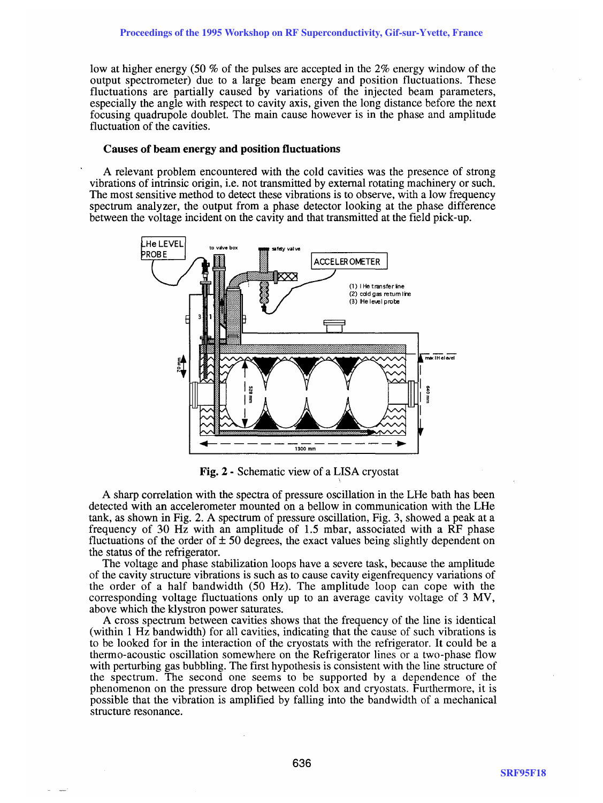low at higher energy (50 % of the pulses are accepted in the 2% energy window of the output spectrometer) due to a large beam energy and position fluctuations. These fluctuations are partially caused by variations of the injected beam parameters, especially the angle with respect to cavity axis, given the long distance before the next focusing quadrupole doublet. The main cause however is in the phase and amplitude fluctuation of the cavities.

#### Causes of beam energy and position fluctuations

A relevant problem encountered with the cold cavities was the presence of strong vibrations of intrinsic origin, i.e. not transmitted by external rotating machinery or such. The most sensitive method to detect these vibrations is to observe, with a low frequency spectrum analyzer, the output from a phase detector looking at the phase difference between the voltage incident on the cavity and that transmitted at the field pick-up.



Fig. 2 - Schematic view of a LISA cryostat

A sharp correlation with the spectra of pressure oscillation in the LHe bath has been detected with an accelerometer mounted on a bellow in communication with the LHe tank, as shown in Fig. 2. A spectrum of pressure oscillation, Fig. 3, showed a peak at a frequency of 30 Hz with an amplitude of 1.5 mbar, associated with a RF phase fluctuations of the order of  $\pm$  50 degrees, the exact values being slightly dependent on the status of the refrigerator.

The voltage and phase stabilization loops have a severe task, because the amplitude of the cavity structure vibrations is such as to cause cavity eigenfrequency variations of the order of a half bandwidth (50 Hz). The amplitude loop can cope with the corresponding voltage fluctuations only up to an average cavity voltage of 3 MV, above which the klystron power saturates.

A cross spectrum between cavities shows that the frequency of the line is identical (within 1 Hz bandwidth) for all cavities, indicating that the cause of such vibrations is to be looked for in the interaction of the cryostats with the refrigerator. It could be a thermo-acoustic oscillation somewhere on the Refrigerator lines or a two-phase flow with perturbing gas bubbling. The first hypothesis is consistent with the line structure of the spectrum. The second one seems to be supported by a dependence of the phenomenon on the pressure drop between cold box and cryostats. Furthermore, it is possible that the vibration is amplified by falling into the bandwidth of a mechanical structure resonance.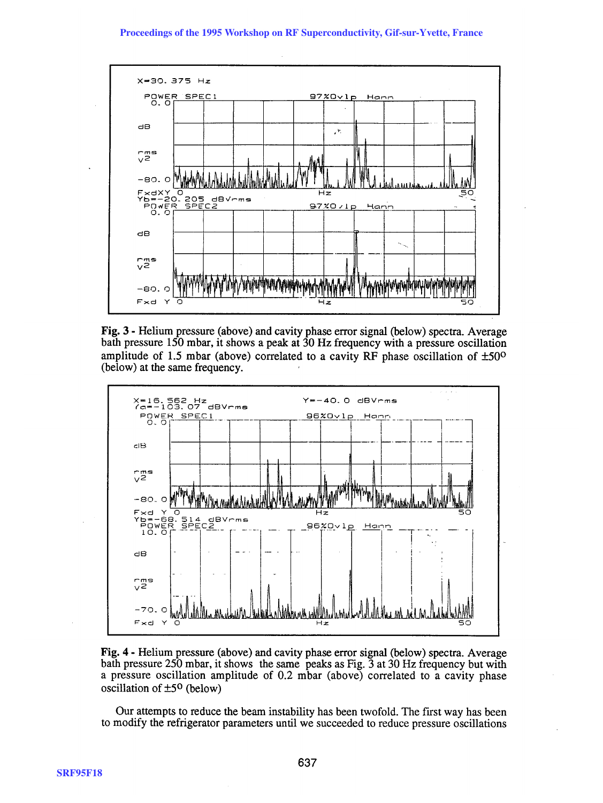# Proceedings of the 1995 Workshop on RF Superconductivity, Gif-sur-Yvette, France



**Fig. 3 - Helium pressure (above) and cavity phase error signal (below) spectra. Average bath pressure 150 mbar, it shows a peak at 30 Hz frequency with a pressure oscillation amplitude of 1.5 mbar (above) correlated to a cavity RF phase oscillation of ±50o (below) at the same frequency.** 





**Our attempts to reduce the beam instability has been twofold. The first way has been to modify the refrigerator parameters until we succeeded to reduce pressure oscillations**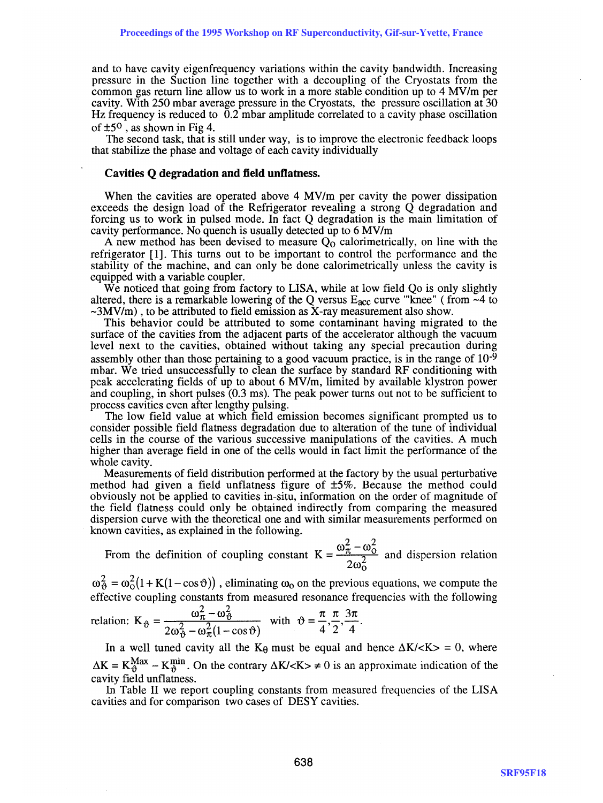and to have cavity eigenfrequency variations within the cavity bandwidth. Increasing pressure in the Suction line together with a decoupling of the Cryostats from the common gas return line allow us to work in a more stable condition up to  $4 \text{ MV/m}$  per cavity. With 250 mbar average pressure in the Cryostats, the pressure oscillation at 30 Hz frequency is reduced to  $\overline{0.2}$  mbar amplitude correlated to a cavity phase oscillation of  $\pm 5^{\circ}$ , as shown in Fig 4.

The second task, that is still under way, is to improve the electronic feedback loops that stabilize the phase and voltage of each cavity individually

# **Cavities Q degradation and field unflatness.**

When the cavities are operated above 4 MV/m per cavity the power dissipation exceeds the design load of the Refrigerator revealing a strong Q degradation and forcing us to work in pulsed mode. In fact Q degradation is the main limitation of cavity performance. No quench is usually detected up to 6 MV/m

A new method has been devised to measure  $Q_0$  calorimetrically, on line with the refrigerator [1]. This turns out to be important to control the performance and the stability of the machine, and can only be done calorimetrically unless the cavity is equipped with a variable coupler.

We noticed that going from factory to LISA, while at low field Qo is only slightly altered, there is a remarkable lowering of the Q versus  $E_{acc}$  curve "'knee" (from  $\sim$ 4 to  $\sim$ 3MV/m), to be attributed to field emission as X-ray measurement also show.

This behavior could be attributed to some contaminant having migrated to the surface of the cavities from the adjacent parts of the accelerator although the vacuum level next to the cavities, obtained without taking any special precaution during assembly other than those pertaining to a good vacuum practice, is in the range of  $10^{-9}$ mbar. We tried unsuccessfully to clean the surface by standard RF conditioning with peak accelerating fields of up to about 6 MV/m, limited by available klystron power and coupling, in short pulses (0.3 ms). The peak power turns out not to be sufficient to process cavities even after lengthy pulsing.

The low field value at which field emission becomes significant prompted us to consider possible field flatness degradation due to alteration of the tune of individual cells in the course of the various successive manipulations of the cavities. A much higher than average field in one of the cells would in fact limit the performance of the whole cavity.

Measurements of field distribution performed at the factory by the usual perturbative method had given a field unflatness figure of ±5%. Because the method could obviously not be applied to cavities in-situ, information on the order of magnitude of the field flatness could only be obtained indirectly from comparing the measured dispersion curve with the theoretical one and with similar measurements performed on known cavities, as explained in the following.

 $2 - \omega^2$ From the definition of coupling constant  $K = \frac{w\pi}{2} \frac{w_0}{r^2}$  and dispersion relation  $2\omega_0^2$ 

 $\omega_0^2 = \omega_0^2(1 + K(1 - \cos \vartheta))$ , eliminating  $\omega_0$  on the previous equations, we compute the

effective coupling constants from measured resonance frequencies with the following  
relation: 
$$
K_{\vartheta} = \frac{\omega_{\pi}^2 - \omega_{\vartheta}^2}{2\omega_{\vartheta}^2 - \omega_{\pi}^2 (1 - \cos \vartheta)}
$$
 with  $\vartheta = \frac{\pi}{4}, \frac{\pi}{2}, \frac{3\pi}{4}$ .

In a well tuned cavity all the  $K_{\theta}$  must be equal and hence  $\Delta K / \langle K \rangle = 0$ , where  $\Delta K = K_{\vartheta}^{Max} - K_{\vartheta}^{min}$ . On the contrary  $\Delta K / \langle K \rangle \neq 0$  is an approximate indication of the cavity field unflatness.

In Table II we report coupling constants from measured frequencies of the LISA cavities and for comparison two cases of DESY cavities.